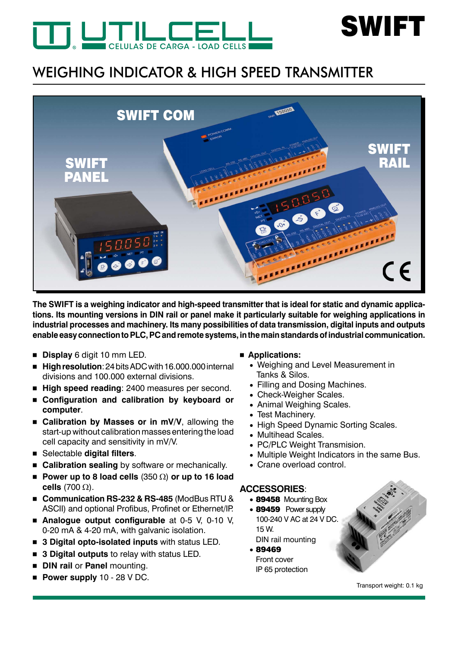



# WEIGHING INDICATOR & HIGH SPEED TRANSMITTER



**The SWIFT is a weighing indicator and high-speed transmitter that is ideal for static and dynamic applications. Its mounting versions in DIN rail or panel make it particularly suitable for weighing applications in industrial processes and machinery. Its many possibilities of data transmission, digital inputs and outputs enable easy connection to PLC, PC and remote systems, in the main standards of industrial communication.**

- **Display** 6 digit 10 mm LED.
- **High resolution:** 24 bits ADC with 16,000,000 internal divisions and 100.000 external divisions.
- **High speed reading**: 2400 measures per second.
- **Configuration and calibration by keyboard or computer**.
- **E** Calibration by Masses or in mV/V, allowing the start-up without calibration masses entering the load cell capacity and sensitivity in mV/V.
- Selectable **digital filters**.
- **E** Calibration sealing by software or mechanically.
- **Power up to 8 load cells**  $(350 \Omega)$  or up to 16 load **cells**  $(700 \Omega)$ .
- **Communication RS-232 & RS-485** (ModBus RTU & ASCII) and optional Profibus, Profinet or Ethernet/IP.
- **Analogue output configurable** at 0-5 V, 0-10 V, 0-20 mA & 4-20 mA, with galvanic isolation.
- **3 Digital opto-isolated inputs** with status LED.
- **3 Digital outputs** to relay with status LED.
- **DIN rail or Panel mounting.**
- **Power supply** 10 28 V DC.

#### **Applications:**

- Weighing and Level Measurement in Tanks & Silos.
- Filling and Dosing Machines.
- Check-Weigher Scales.
- Animal Weighing Scales.
- Test Machinery.
- High Speed Dynamic Sorting Scales.
- Multihead Scales.
- PC/PLC Weight Transmision.
- Multiple Weight Indicators in the same Bus.
- Crane overload control.

#### **AccessorIES**:

- 89458 Mounting Box
- 89459 Power supply 100-240 V AC at 24 V DC. 15 W. DIN rail mounting
- 89469 Front cover IP 65 protection



Transport weight: 0.1 kg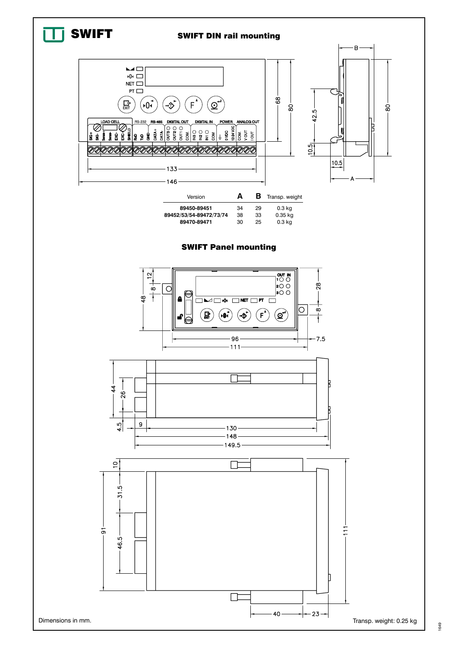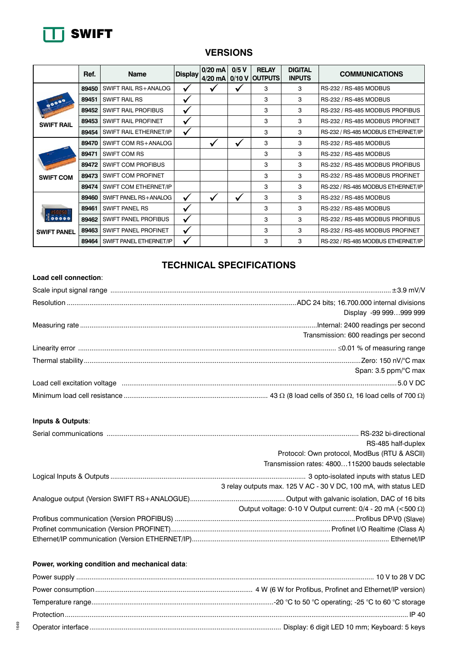

## **VERSIONS**

|                            | Ref.  | <b>Name</b>                 | <b>Display</b> | 0/20 mA<br>$4/20$ mA | 0/5V | <b>RELAY</b><br>0/10 V OUTPUTS | <b>DIGITAL</b><br><b>INPUTS</b> | <b>COMMUNICATIONS</b>              |
|----------------------------|-------|-----------------------------|----------------|----------------------|------|--------------------------------|---------------------------------|------------------------------------|
|                            | 89450 | SWIFT RAIL RS+ANALOG        |                |                      |      | 3                              | 3                               | RS-232 / RS-485 MODBUS             |
| 00000<br><b>SWIFT RAIL</b> | 89451 | <b>SWIFT RAIL RS</b>        | ✓              |                      |      | 3                              | 3                               | RS-232 / RS-485 MODBUS             |
|                            | 89452 | <b>SWIFT RAIL PROFIBUS</b>  | ✔              |                      |      | 3                              | 3                               | RS-232 / RS-485 MODBUS PROFIBUS    |
|                            | 89453 | <b>SWIFT RAIL PROFINET</b>  |                |                      |      | 3                              | 3                               | RS-232 / RS-485 MODBUS PROFINET    |
|                            | 89454 | SWIFT RAIL ETHERNET/IP      | ✓              |                      |      | 3                              | 3                               | RS-232 / RS-485 MODBUS ETHERNET/IP |
|                            | 89470 | SWIFT COM RS+ANALOG         |                | $\checkmark$         |      | 3                              | 3                               | RS-232 / RS-485 MODBUS             |
|                            | 89471 | <b>SWIFT COM RS</b>         |                |                      |      | 3                              | 3                               | RS-232 / RS-485 MODBUS             |
|                            | 89472 | <b>SWIFT COM PROFIBUS</b>   |                |                      |      | 3                              | 3                               | RS-232 / RS-485 MODBUS PROFIBUS    |
| <b>SWIFT COM</b>           | 89473 | <b>SWIFT COM PROFINET</b>   |                |                      |      | 3                              | 3                               | RS-232 / RS-485 MODBUS PROFINET    |
|                            | 89474 | SWIFT COM ETHERNET/IP       |                |                      |      | 3                              | 3                               | RS-232 / RS-485 MODBUS ETHERNET/IP |
|                            | 89460 | SWIFT PANEL RS+ANALOG       |                |                      |      | 3                              | 3                               | RS-232 / RS-485 MODBUS             |
|                            | 89461 | <b>SWIFT PANEL RS</b>       | ✔              |                      |      | 3                              | 3                               | RS-232 / RS-485 MODBUS             |
|                            | 89462 | <b>SWIFT PANEL PROFIBUS</b> |                |                      |      | 3                              | 3                               | RS-232 / RS-485 MODBUS PROFIBUS    |
| <b>SWIFT PANEL</b>         | 89463 | SWIFT PANEL PROFINET        | ✔              |                      |      | 3                              | 3                               | RS-232 / RS-485 MODBUS PROFINET    |
|                            | 89464 | SWIFT PANEL ETHERNET/IP     | ✔              |                      |      | 3                              | 3                               | RS-232 / RS-485 MODBUS ETHERNET/IP |

## **TECHNICAL SPECIFICATIONS**

#### **Load cell connection**:

| Display -99 999999 999                |
|---------------------------------------|
| Transmission: 600 readings per second |
|                                       |
|                                       |
|                                       |
| Span: 3.5 ppm/°C max                  |
|                                       |
|                                       |

#### **Inputs & Outputs**:

| RS-485 half-duplex                                                    |
|-----------------------------------------------------------------------|
| Protocol: Own protocol, ModBus (RTU & ASCII)                          |
| Transmission rates: 4800115200 bauds selectable                       |
|                                                                       |
| 3 relay outputs max. 125 V AC - 30 V DC, 100 mA, with status LED      |
|                                                                       |
| Output voltage: 0-10 V Output current: $0/4$ - 20 mA (<500 $\Omega$ ) |
|                                                                       |
|                                                                       |
|                                                                       |

#### **Power, working condition and mechanical data**: